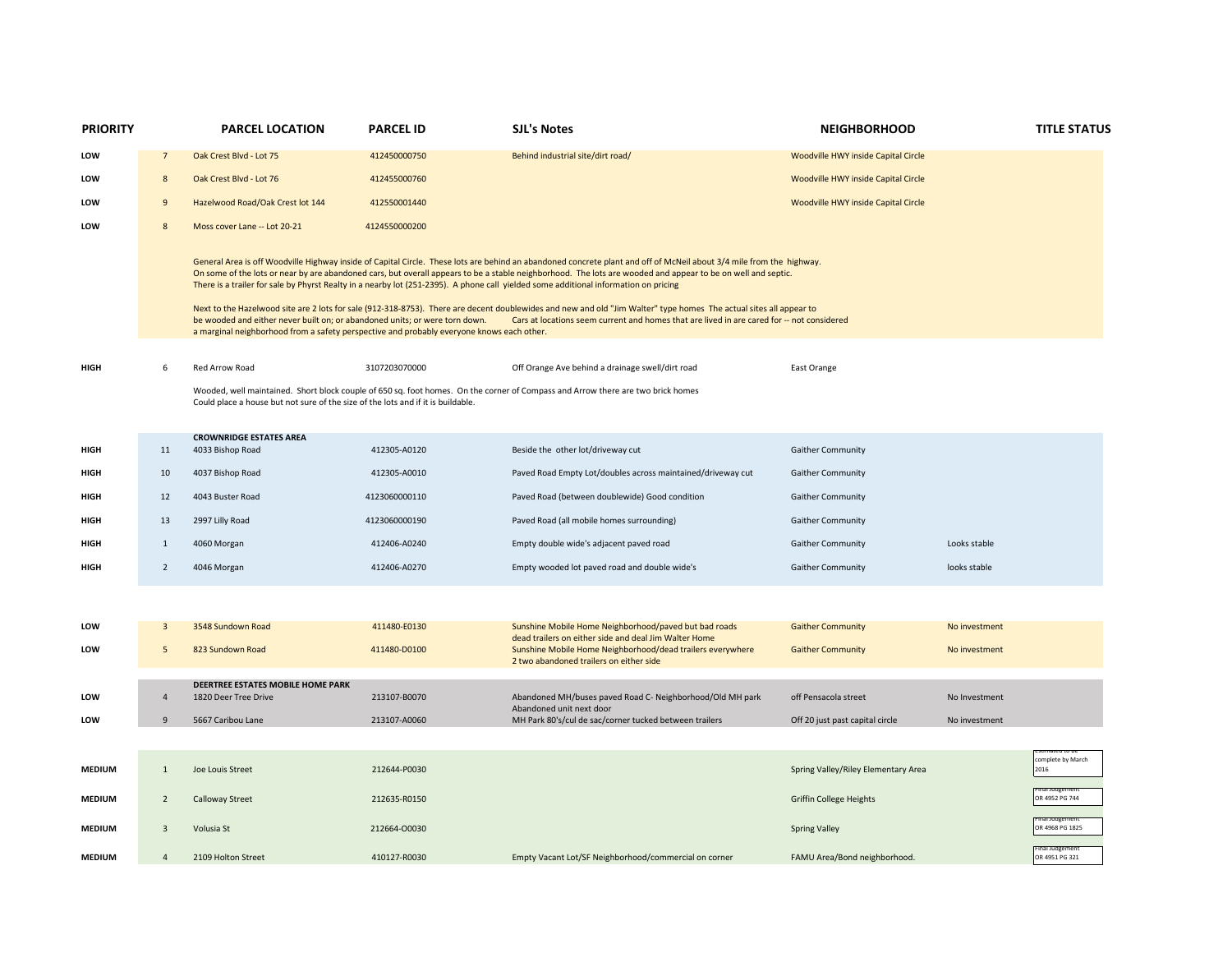| <b>PRIORITY</b> |                | <b>PARCEL LOCATION</b>                                                                                                                                                                                                                                                                                                                                                                                                                                                                                                                                                                                                                                                                                                                                                                                                                                                                                                       | <b>PARCEL ID</b> | <b>SJL's Notes</b>                                                                                                                                             | <b>NEIGHBORHOOD</b>                 |               | <b>TITLE STATUS</b>       |  |  |  |
|-----------------|----------------|------------------------------------------------------------------------------------------------------------------------------------------------------------------------------------------------------------------------------------------------------------------------------------------------------------------------------------------------------------------------------------------------------------------------------------------------------------------------------------------------------------------------------------------------------------------------------------------------------------------------------------------------------------------------------------------------------------------------------------------------------------------------------------------------------------------------------------------------------------------------------------------------------------------------------|------------------|----------------------------------------------------------------------------------------------------------------------------------------------------------------|-------------------------------------|---------------|---------------------------|--|--|--|
| LOW             | $\overline{7}$ | Oak Crest Blvd - Lot 75                                                                                                                                                                                                                                                                                                                                                                                                                                                                                                                                                                                                                                                                                                                                                                                                                                                                                                      | 412450000750     | Behind industrial site/dirt road/                                                                                                                              | Woodville HWY inside Capital Circle |               |                           |  |  |  |
| LOW             | 8              | Oak Crest Blvd - Lot 76                                                                                                                                                                                                                                                                                                                                                                                                                                                                                                                                                                                                                                                                                                                                                                                                                                                                                                      | 412455000760     |                                                                                                                                                                | Woodville HWY inside Capital Circle |               |                           |  |  |  |
| LOW             | 9              | Hazelwood Road/Oak Crest lot 144                                                                                                                                                                                                                                                                                                                                                                                                                                                                                                                                                                                                                                                                                                                                                                                                                                                                                             | 412550001440     |                                                                                                                                                                | Woodville HWY inside Capital Circle |               |                           |  |  |  |
| LOW             | 8              | Moss cover Lane -- Lot 20-21                                                                                                                                                                                                                                                                                                                                                                                                                                                                                                                                                                                                                                                                                                                                                                                                                                                                                                 | 4124550000200    |                                                                                                                                                                |                                     |               |                           |  |  |  |
|                 |                | General Area is off Woodville Highway inside of Capital Circle. These lots are behind an abandoned concrete plant and off of McNeil about 3/4 mile from the highway.<br>On some of the lots or near by are abandoned cars, but overall appears to be a stable neighborhood. The lots are wooded and appear to be on well and septic.<br>There is a trailer for sale by Phyrst Realty in a nearby lot (251-2395). A phone call yielded some additional information on pricing<br>Next to the Hazelwood site are 2 lots for sale (912-318-8753). There are decent doublewides and new and old "Jim Walter" type homes The actual sites all appear to<br>be wooded and either never built on; or abandoned units; or were torn down.<br>Cars at locations seem current and homes that are lived in are cared for -- not considered<br>a marginal neighborhood from a safety perspective and probably everyone knows each other. |                  |                                                                                                                                                                |                                     |               |                           |  |  |  |
| HIGH            | 6              | Red Arrow Road                                                                                                                                                                                                                                                                                                                                                                                                                                                                                                                                                                                                                                                                                                                                                                                                                                                                                                               | 3107203070000    | Off Orange Ave behind a drainage swell/dirt road                                                                                                               | East Orange                         |               |                           |  |  |  |
|                 |                | Wooded, well maintained. Short block couple of 650 sq. foot homes. On the corner of Compass and Arrow there are two brick homes<br>Could place a house but not sure of the size of the lots and if it is buildable.                                                                                                                                                                                                                                                                                                                                                                                                                                                                                                                                                                                                                                                                                                          |                  |                                                                                                                                                                |                                     |               |                           |  |  |  |
|                 |                | <b>CROWNRIDGE ESTATES AREA</b>                                                                                                                                                                                                                                                                                                                                                                                                                                                                                                                                                                                                                                                                                                                                                                                                                                                                                               |                  |                                                                                                                                                                |                                     |               |                           |  |  |  |
| HIGH            | 11             | 4033 Bishop Road                                                                                                                                                                                                                                                                                                                                                                                                                                                                                                                                                                                                                                                                                                                                                                                                                                                                                                             | 412305-A0120     | Beside the other lot/driveway cut                                                                                                                              | <b>Gaither Community</b>            |               |                           |  |  |  |
| <b>HIGH</b>     | 10             | 4037 Bishop Road                                                                                                                                                                                                                                                                                                                                                                                                                                                                                                                                                                                                                                                                                                                                                                                                                                                                                                             | 412305-A0010     | Paved Road Empty Lot/doubles across maintained/driveway cut                                                                                                    | Gaither Community                   |               |                           |  |  |  |
| HIGH            | 12             | 4043 Buster Road                                                                                                                                                                                                                                                                                                                                                                                                                                                                                                                                                                                                                                                                                                                                                                                                                                                                                                             | 4123060000110    | Paved Road (between doublewide) Good condition                                                                                                                 | <b>Gaither Community</b>            |               |                           |  |  |  |
| <b>HIGH</b>     | 13             | 2997 Lilly Road                                                                                                                                                                                                                                                                                                                                                                                                                                                                                                                                                                                                                                                                                                                                                                                                                                                                                                              | 4123060000190    | Paved Road (all mobile homes surrounding)                                                                                                                      | <b>Gaither Community</b>            |               |                           |  |  |  |
| HIGH            | $1\,$          | 4060 Morgan                                                                                                                                                                                                                                                                                                                                                                                                                                                                                                                                                                                                                                                                                                                                                                                                                                                                                                                  | 412406-A0240     | Empty double wide's adjacent paved road                                                                                                                        | Gaither Community                   | Looks stable  |                           |  |  |  |
| HIGH            | $\overline{2}$ | 4046 Morgan                                                                                                                                                                                                                                                                                                                                                                                                                                                                                                                                                                                                                                                                                                                                                                                                                                                                                                                  | 412406-A0270     | Empty wooded lot paved road and double wide's                                                                                                                  | <b>Gaither Community</b>            | looks stable  |                           |  |  |  |
|                 |                |                                                                                                                                                                                                                                                                                                                                                                                                                                                                                                                                                                                                                                                                                                                                                                                                                                                                                                                              |                  |                                                                                                                                                                |                                     |               |                           |  |  |  |
| <b>LOW</b>      | $\overline{3}$ | 3548 Sundown Road                                                                                                                                                                                                                                                                                                                                                                                                                                                                                                                                                                                                                                                                                                                                                                                                                                                                                                            | 411480-E0130     | Sunshine Mobile Home Neighborhood/paved but bad roads                                                                                                          | <b>Gaither Community</b>            | No investment |                           |  |  |  |
| LOW             | 5              | 823 Sundown Road                                                                                                                                                                                                                                                                                                                                                                                                                                                                                                                                                                                                                                                                                                                                                                                                                                                                                                             | 411480-D0100     | dead trailers on either side and deal Jim Walter Home<br>Sunshine Mobile Home Neighborhood/dead trailers everywhere<br>2 two abandoned trailers on either side | <b>Gaither Community</b>            | No investment |                           |  |  |  |
|                 |                | <b>DEERTREE ESTATES MOBILE HOME PARK</b>                                                                                                                                                                                                                                                                                                                                                                                                                                                                                                                                                                                                                                                                                                                                                                                                                                                                                     |                  |                                                                                                                                                                |                                     |               |                           |  |  |  |
| <b>LOW</b>      | $\overline{4}$ | 1820 Deer Tree Drive                                                                                                                                                                                                                                                                                                                                                                                                                                                                                                                                                                                                                                                                                                                                                                                                                                                                                                         | 213107-B0070     | Abandoned MH/buses paved Road C- Neighborhood/Old MH park<br>Abandoned unit next door                                                                          | off Pensacola street                | No Investment |                           |  |  |  |
| LOW             | $\overline{9}$ | 5667 Caribou Lane                                                                                                                                                                                                                                                                                                                                                                                                                                                                                                                                                                                                                                                                                                                                                                                                                                                                                                            | 213107-A0060     | MH Park 80's/cul de sac/corner tucked between trailers                                                                                                         | Off 20 just past capital circle     | No investment |                           |  |  |  |
|                 |                |                                                                                                                                                                                                                                                                                                                                                                                                                                                                                                                                                                                                                                                                                                                                                                                                                                                                                                                              |                  |                                                                                                                                                                |                                     |               |                           |  |  |  |
| <b>MEDIUM</b>   | $\mathbf{1}$   | Joe Louis Street                                                                                                                                                                                                                                                                                                                                                                                                                                                                                                                                                                                                                                                                                                                                                                                                                                                                                                             | 212644-P0030     |                                                                                                                                                                | Spring Valley/Riley Elementary Area |               | complete by March<br>2016 |  |  |  |
| <b>MEDIUM</b>   | $\overline{2}$ | <b>Calloway Street</b>                                                                                                                                                                                                                                                                                                                                                                                                                                                                                                                                                                                                                                                                                                                                                                                                                                                                                                       | 212635-R0150     |                                                                                                                                                                | <b>Griffin College Heights</b>      |               | OR 4952 PG 744            |  |  |  |
| <b>MEDIUM</b>   | $\overline{3}$ | Volusia St                                                                                                                                                                                                                                                                                                                                                                                                                                                                                                                                                                                                                                                                                                                                                                                                                                                                                                                   | 212664-00030     |                                                                                                                                                                | <b>Spring Valley</b>                |               | OR 4968 PG 1825           |  |  |  |
| <b>MEDIUM</b>   | $\overline{4}$ | 2109 Holton Street                                                                                                                                                                                                                                                                                                                                                                                                                                                                                                                                                                                                                                                                                                                                                                                                                                                                                                           | 410127-R0030     | Empty Vacant Lot/SF Neighborhood/commercial on corner                                                                                                          | FAMU Area/Bond neighborhood.        |               | OR 4951 PG 321            |  |  |  |